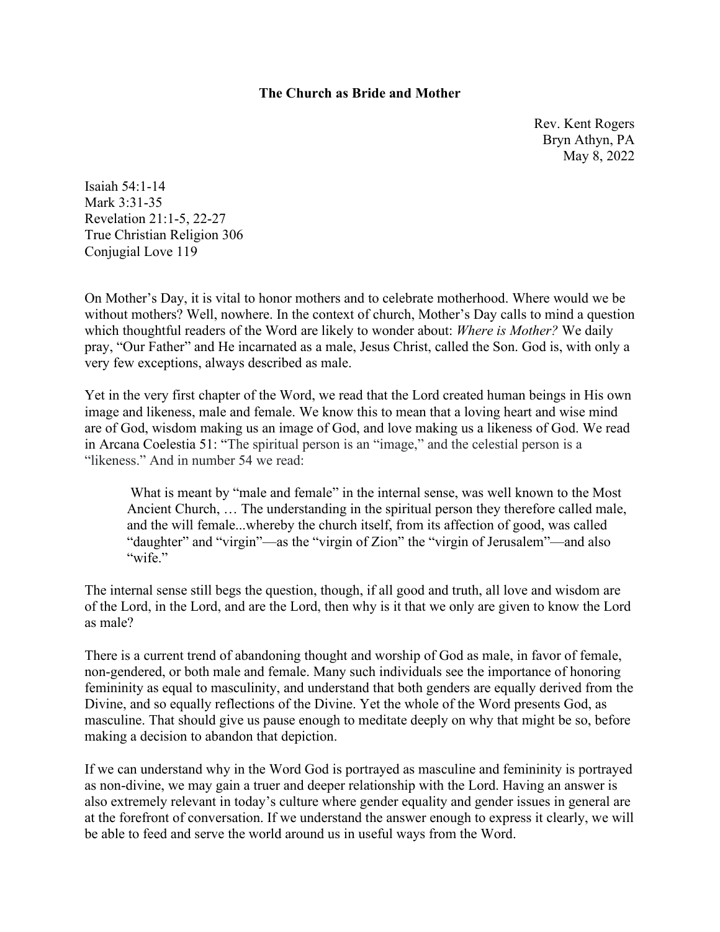### **The Church as Bride and Mother**

Rev. Kent Rogers Bryn Athyn, PA May 8, 2022

Isaiah 54:1-14 Mark 3:31-35 Revelation 21:1-5, 22-27 True Christian Religion 306 Conjugial Love 119

On Mother's Day, it is vital to honor mothers and to celebrate motherhood. Where would we be without mothers? Well, nowhere. In the context of church, Mother's Day calls to mind a question which thoughtful readers of the Word are likely to wonder about: *Where is Mother?* We daily pray, "Our Father" and He incarnated as a male, Jesus Christ, called the Son. God is, with only a very few exceptions, always described as male.

Yet in the very first chapter of the Word, we read that the Lord created human beings in His own image and likeness, male and female. We know this to mean that a loving heart and wise mind are of God, wisdom making us an image of God, and love making us a likeness of God. We read in Arcana Coelestia 51: "The spiritual person is an "image," and the celestial person is a "likeness." And in number 54 we read:

 What is meant by "male and female" in the internal sense, was well known to the Most Ancient Church, … The understanding in the spiritual person they therefore called male, and the will female...whereby the church itself, from its affection of good, was called "daughter" and "virgin"—as the "virgin of Zion" the "virgin of Jerusalem"—and also "wife."

The internal sense still begs the question, though, if all good and truth, all love and wisdom are of the Lord, in the Lord, and are the Lord, then why is it that we only are given to know the Lord as male?

There is a current trend of abandoning thought and worship of God as male, in favor of female, non-gendered, or both male and female. Many such individuals see the importance of honoring femininity as equal to masculinity, and understand that both genders are equally derived from the Divine, and so equally reflections of the Divine. Yet the whole of the Word presents God, as masculine. That should give us pause enough to meditate deeply on why that might be so, before making a decision to abandon that depiction.

If we can understand why in the Word God is portrayed as masculine and femininity is portrayed as non-divine, we may gain a truer and deeper relationship with the Lord. Having an answer is also extremely relevant in today's culture where gender equality and gender issues in general are at the forefront of conversation. If we understand the answer enough to express it clearly, we will be able to feed and serve the world around us in useful ways from the Word.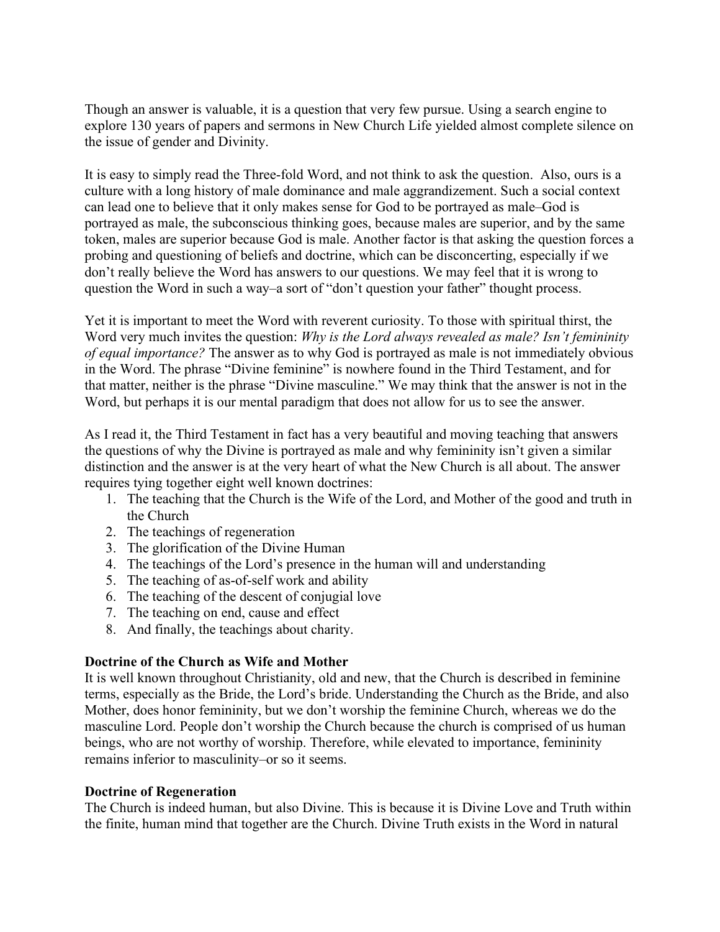Though an answer is valuable, it is a question that very few pursue. Using a search engine to explore 130 years of papers and sermons in New Church Life yielded almost complete silence on the issue of gender and Divinity.

It is easy to simply read the Three-fold Word, and not think to ask the question. Also, ours is a culture with a long history of male dominance and male aggrandizement. Such a social context can lead one to believe that it only makes sense for God to be portrayed as male–God is portrayed as male, the subconscious thinking goes, because males are superior, and by the same token, males are superior because God is male. Another factor is that asking the question forces a probing and questioning of beliefs and doctrine, which can be disconcerting, especially if we don't really believe the Word has answers to our questions. We may feel that it is wrong to question the Word in such a way–a sort of "don't question your father" thought process.

Yet it is important to meet the Word with reverent curiosity. To those with spiritual thirst, the Word very much invites the question: *Why is the Lord always revealed as male? Isn't femininity of equal importance?* The answer as to why God is portrayed as male is not immediately obvious in the Word. The phrase "Divine feminine" is nowhere found in the Third Testament, and for that matter, neither is the phrase "Divine masculine." We may think that the answer is not in the Word, but perhaps it is our mental paradigm that does not allow for us to see the answer.

As I read it, the Third Testament in fact has a very beautiful and moving teaching that answers the questions of why the Divine is portrayed as male and why femininity isn't given a similar distinction and the answer is at the very heart of what the New Church is all about. The answer requires tying together eight well known doctrines:

- 1. The teaching that the Church is the Wife of the Lord, and Mother of the good and truth in the Church
- 2. The teachings of regeneration
- 3. The glorification of the Divine Human
- 4. The teachings of the Lord's presence in the human will and understanding
- 5. The teaching of as-of-self work and ability
- 6. The teaching of the descent of conjugial love
- 7. The teaching on end, cause and effect
- 8. And finally, the teachings about charity.

### **Doctrine of the Church as Wife and Mother**

It is well known throughout Christianity, old and new, that the Church is described in feminine terms, especially as the Bride, the Lord's bride. Understanding the Church as the Bride, and also Mother, does honor femininity, but we don't worship the feminine Church, whereas we do the masculine Lord. People don't worship the Church because the church is comprised of us human beings, who are not worthy of worship. Therefore, while elevated to importance, femininity remains inferior to masculinity–or so it seems.

### **Doctrine of Regeneration**

The Church is indeed human, but also Divine. This is because it is Divine Love and Truth within the finite, human mind that together are the Church. Divine Truth exists in the Word in natural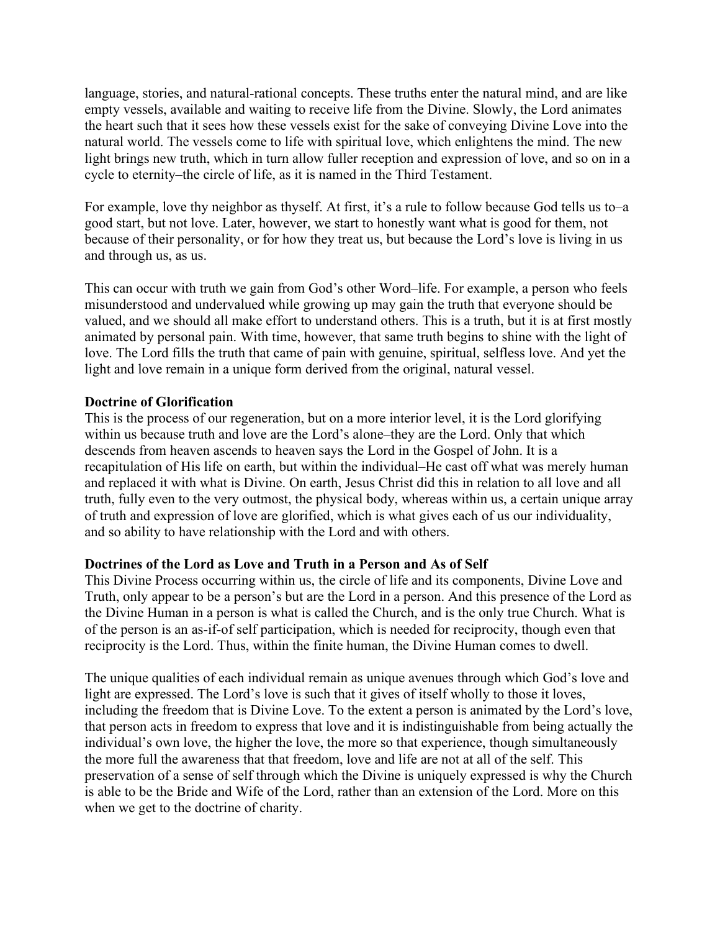language, stories, and natural-rational concepts. These truths enter the natural mind, and are like empty vessels, available and waiting to receive life from the Divine. Slowly, the Lord animates the heart such that it sees how these vessels exist for the sake of conveying Divine Love into the natural world. The vessels come to life with spiritual love, which enlightens the mind. The new light brings new truth, which in turn allow fuller reception and expression of love, and so on in a cycle to eternity–the circle of life, as it is named in the Third Testament.

For example, love thy neighbor as thyself. At first, it's a rule to follow because God tells us to–a good start, but not love. Later, however, we start to honestly want what is good for them, not because of their personality, or for how they treat us, but because the Lord's love is living in us and through us, as us.

This can occur with truth we gain from God's other Word–life. For example, a person who feels misunderstood and undervalued while growing up may gain the truth that everyone should be valued, and we should all make effort to understand others. This is a truth, but it is at first mostly animated by personal pain. With time, however, that same truth begins to shine with the light of love. The Lord fills the truth that came of pain with genuine, spiritual, selfless love. And yet the light and love remain in a unique form derived from the original, natural vessel.

## **Doctrine of Glorification**

This is the process of our regeneration, but on a more interior level, it is the Lord glorifying within us because truth and love are the Lord's alone–they are the Lord. Only that which descends from heaven ascends to heaven says the Lord in the Gospel of John. It is a recapitulation of His life on earth, but within the individual–He cast off what was merely human and replaced it with what is Divine. On earth, Jesus Christ did this in relation to all love and all truth, fully even to the very outmost, the physical body, whereas within us, a certain unique array of truth and expression of love are glorified, which is what gives each of us our individuality, and so ability to have relationship with the Lord and with others.

# **Doctrines of the Lord as Love and Truth in a Person and As of Self**

This Divine Process occurring within us, the circle of life and its components, Divine Love and Truth, only appear to be a person's but are the Lord in a person. And this presence of the Lord as the Divine Human in a person is what is called the Church, and is the only true Church. What is of the person is an as-if-of self participation, which is needed for reciprocity, though even that reciprocity is the Lord. Thus, within the finite human, the Divine Human comes to dwell.

The unique qualities of each individual remain as unique avenues through which God's love and light are expressed. The Lord's love is such that it gives of itself wholly to those it loves, including the freedom that is Divine Love. To the extent a person is animated by the Lord's love, that person acts in freedom to express that love and it is indistinguishable from being actually the individual's own love, the higher the love, the more so that experience, though simultaneously the more full the awareness that that freedom, love and life are not at all of the self. This preservation of a sense of self through which the Divine is uniquely expressed is why the Church is able to be the Bride and Wife of the Lord, rather than an extension of the Lord. More on this when we get to the doctrine of charity.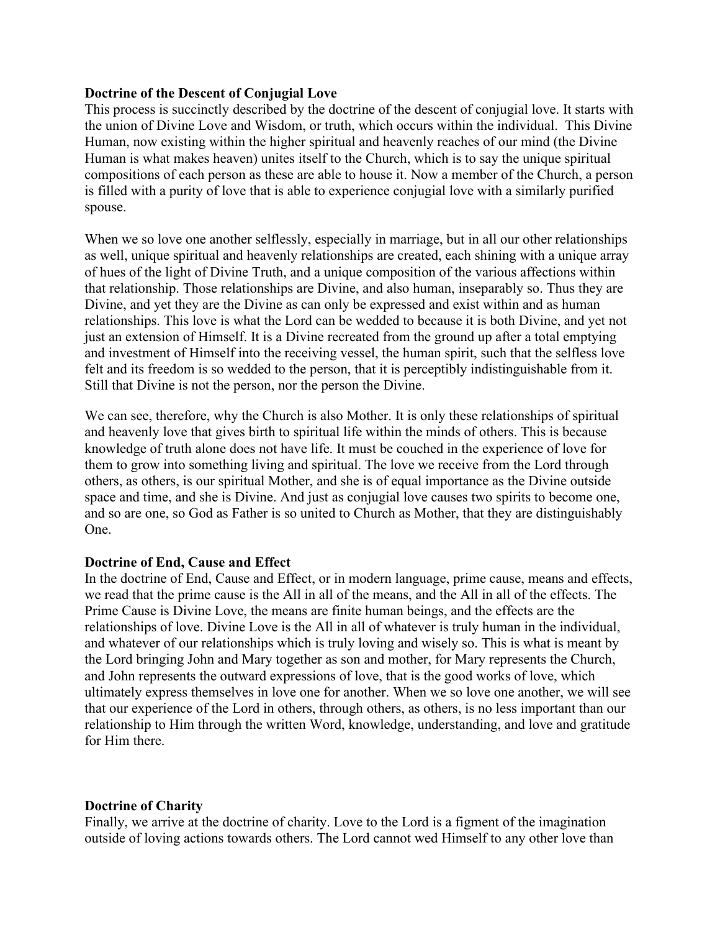### **Doctrine of the Descent of Conjugial Love**

This process is succinctly described by the doctrine of the descent of conjugial love. It starts with the union of Divine Love and Wisdom, or truth, which occurs within the individual. This Divine Human, now existing within the higher spiritual and heavenly reaches of our mind (the Divine Human is what makes heaven) unites itself to the Church, which is to say the unique spiritual compositions of each person as these are able to house it. Now a member of the Church, a person is filled with a purity of love that is able to experience conjugial love with a similarly purified spouse.

When we so love one another selflessly, especially in marriage, but in all our other relationships as well, unique spiritual and heavenly relationships are created, each shining with a unique array of hues of the light of Divine Truth, and a unique composition of the various affections within that relationship. Those relationships are Divine, and also human, inseparably so. Thus they are Divine, and yet they are the Divine as can only be expressed and exist within and as human relationships. This love is what the Lord can be wedded to because it is both Divine, and yet not just an extension of Himself. It is a Divine recreated from the ground up after a total emptying and investment of Himself into the receiving vessel, the human spirit, such that the selfless love felt and its freedom is so wedded to the person, that it is perceptibly indistinguishable from it. Still that Divine is not the person, nor the person the Divine.

We can see, therefore, why the Church is also Mother. It is only these relationships of spiritual and heavenly love that gives birth to spiritual life within the minds of others. This is because knowledge of truth alone does not have life. It must be couched in the experience of love for them to grow into something living and spiritual. The love we receive from the Lord through others, as others, is our spiritual Mother, and she is of equal importance as the Divine outside space and time, and she is Divine. And just as conjugial love causes two spirits to become one, and so are one, so God as Father is so united to Church as Mother, that they are distinguishably One.

### **Doctrine of End, Cause and Effect**

In the doctrine of End, Cause and Effect, or in modern language, prime cause, means and effects, we read that the prime cause is the All in all of the means, and the All in all of the effects. The Prime Cause is Divine Love, the means are finite human beings, and the effects are the relationships of love. Divine Love is the All in all of whatever is truly human in the individual, and whatever of our relationships which is truly loving and wisely so. This is what is meant by the Lord bringing John and Mary together as son and mother, for Mary represents the Church, and John represents the outward expressions of love, that is the good works of love, which ultimately express themselves in love one for another. When we so love one another, we will see that our experience of the Lord in others, through others, as others, is no less important than our relationship to Him through the written Word, knowledge, understanding, and love and gratitude for Him there.

### **Doctrine of Charity**

Finally, we arrive at the doctrine of charity. Love to the Lord is a figment of the imagination outside of loving actions towards others. The Lord cannot wed Himself to any other love than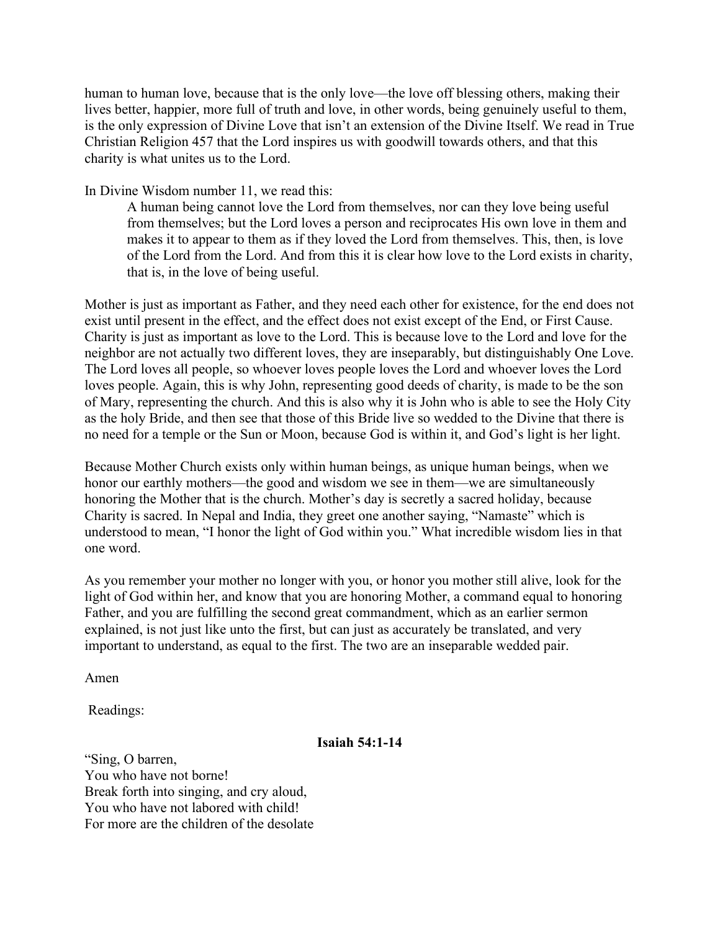human to human love, because that is the only love—the love off blessing others, making their lives better, happier, more full of truth and love, in other words, being genuinely useful to them, is the only expression of Divine Love that isn't an extension of the Divine Itself. We read in True Christian Religion 457 that the Lord inspires us with goodwill towards others, and that this charity is what unites us to the Lord.

In Divine Wisdom number 11, we read this:

A human being cannot love the Lord from themselves, nor can they love being useful from themselves; but the Lord loves a person and reciprocates His own love in them and makes it to appear to them as if they loved the Lord from themselves. This, then, is love of the Lord from the Lord. And from this it is clear how love to the Lord exists in charity, that is, in the love of being useful.

Mother is just as important as Father, and they need each other for existence, for the end does not exist until present in the effect, and the effect does not exist except of the End, or First Cause. Charity is just as important as love to the Lord. This is because love to the Lord and love for the neighbor are not actually two different loves, they are inseparably, but distinguishably One Love. The Lord loves all people, so whoever loves people loves the Lord and whoever loves the Lord loves people. Again, this is why John, representing good deeds of charity, is made to be the son of Mary, representing the church. And this is also why it is John who is able to see the Holy City as the holy Bride, and then see that those of this Bride live so wedded to the Divine that there is no need for a temple or the Sun or Moon, because God is within it, and God's light is her light.

Because Mother Church exists only within human beings, as unique human beings, when we honor our earthly mothers—the good and wisdom we see in them—we are simultaneously honoring the Mother that is the church. Mother's day is secretly a sacred holiday, because Charity is sacred. In Nepal and India, they greet one another saying, "Namaste" which is understood to mean, "I honor the light of God within you." What incredible wisdom lies in that one word.

As you remember your mother no longer with you, or honor you mother still alive, look for the light of God within her, and know that you are honoring Mother, a command equal to honoring Father, and you are fulfilling the second great commandment, which as an earlier sermon explained, is not just like unto the first, but can just as accurately be translated, and very important to understand, as equal to the first. The two are an inseparable wedded pair.

Amen

Readings:

#### **Isaiah 54:1-14**

"Sing, O barren, You who have not borne! Break forth into singing, and cry aloud, You who have not labored with child! For more are the children of the desolate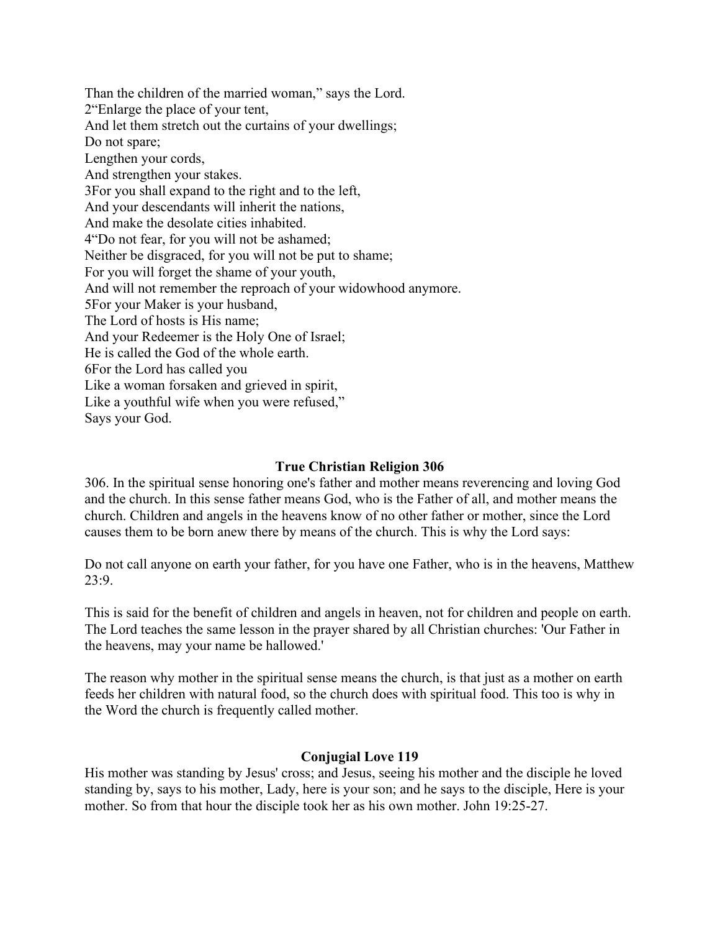Than the children of the married woman," says the Lord. 2"Enlarge the place of your tent, And let them stretch out the curtains of your dwellings; Do not spare; Lengthen your cords, And strengthen your stakes. 3For you shall expand to the right and to the left, And your descendants will inherit the nations, And make the desolate cities inhabited. 4"Do not fear, for you will not be ashamed; Neither be disgraced, for you will not be put to shame; For you will forget the shame of your youth, And will not remember the reproach of your widowhood anymore. 5For your Maker is your husband, The Lord of hosts is His name; And your Redeemer is the Holy One of Israel; He is called the God of the whole earth. 6For the Lord has called you Like a woman forsaken and grieved in spirit, Like a youthful wife when you were refused," Says your God.

### **True Christian Religion 306**

306. In the spiritual sense honoring one's father and mother means reverencing and loving God and the church. In this sense father means God, who is the Father of all, and mother means the church. Children and angels in the heavens know of no other father or mother, since the Lord causes them to be born anew there by means of the church. This is why the Lord says:

Do not call anyone on earth your father, for you have one Father, who is in the heavens, Matthew 23:9.

This is said for the benefit of children and angels in heaven, not for children and people on earth. The Lord teaches the same lesson in the prayer shared by all Christian churches: 'Our Father in the heavens, may your name be hallowed.'

The reason why mother in the spiritual sense means the church, is that just as a mother on earth feeds her children with natural food, so the church does with spiritual food. This too is why in the Word the church is frequently called mother.

#### **Conjugial Love 119**

His mother was standing by Jesus' cross; and Jesus, seeing his mother and the disciple he loved standing by, says to his mother, Lady, here is your son; and he says to the disciple, Here is your mother. So from that hour the disciple took her as his own mother. John 19:25-27.